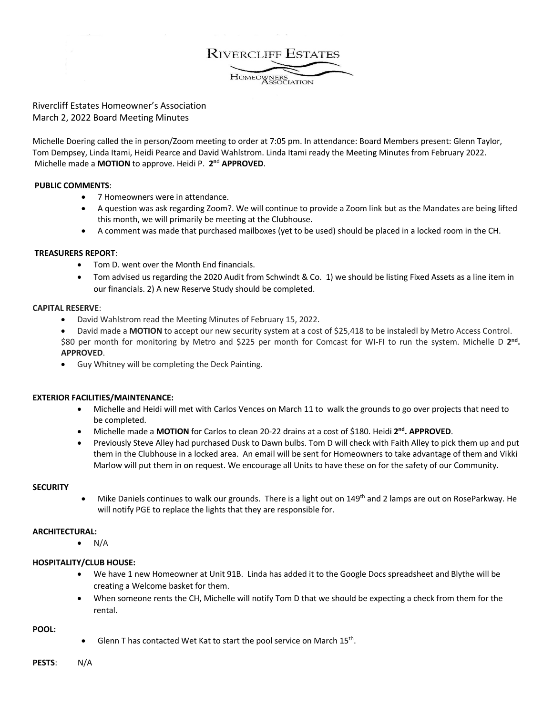**RIVERCLIFF ESTATES** 

HOMEOWNERS

# Rivercliff Estates Homeowner's Association March 2, 2022 Board Meeting Minutes

Michelle Doering called the in person/Zoom meeting to order at 7:05 pm. In attendance: Board Members present: Glenn Taylor, Tom Dempsey, Linda Itami, Heidi Pearce and David Wahlstrom. Linda Itami ready the Meeting Minutes from February 2022. Michelle made a **MOTION** to approve. Heidi P. **2n**<sup>d</sup> **APPROVED**.

## **PUBLIC COMMENTS**:

- 7 Homeowners were in attendance.
- A question was ask regarding Zoom?. We will continue to provide a Zoom link but as the Mandates are being lifted this month, we will primarily be meeting at the Clubhouse.
- A comment was made that purchased mailboxes (yet to be used) should be placed in a locked room in the CH.

## **TREASURERS REPORT**:

- Tom D. went over the Month End financials.
- Tom advised us regarding the 2020 Audit from Schwindt & Co. 1) we should be listing Fixed Assets as a line item in our financials. 2) A new Reserve Study should be completed.

### **CAPITAL RESERVE**:

- David Wahlstrom read the Meeting Minutes of February 15, 2022.
- David made a **MOTION** to accept our new security system at a cost of \$25,418 to be instaledl by Metro Access Control. \$80 per month for monitoring by Metro and \$225 per month for Comcast for WI-FI to run the system. Michelle D **2nd. APPROVED**.
- Guy Whitney will be completing the Deck Painting.

# **EXTERIOR FACILITIES/MAINTENANCE:**

- Michelle and Heidi will met with Carlos Vences on March 11 to walk the grounds to go over projects that need to be completed.
- Michelle made a **MOTION** for Carlos to clean 20-22 drains at a cost of \$180. Heidi **2nd. APPROVED**.
- Previously Steve Alley had purchased Dusk to Dawn bulbs. Tom D will check with Faith Alley to pick them up and put them in the Clubhouse in a locked area. An email will be sent for Homeowners to take advantage of them and Vikki Marlow will put them in on request. We encourage all Units to have these on for the safety of our Community.

### **SECURITY**

Mike Daniels continues to walk our grounds. There is a light out on 149<sup>th</sup> and 2 lamps are out on RoseParkway. He will notify PGE to replace the lights that they are responsible for.

### **ARCHITECTURAL:**

 $\bullet$  N/A

# **HOSPITALITY/CLUB HOUSE:**

- We have 1 new Homeowner at Unit 91B. Linda has added it to the Google Docs spreadsheet and Blythe will be creating a Welcome basket for them.
- When someone rents the CH, Michelle will notify Tom D that we should be expecting a check from them for the rental.

**POOL:** 

- Glenn T has contacted Wet Kat to start the pool service on March  $15<sup>th</sup>$ .
- **PESTS**: N/A